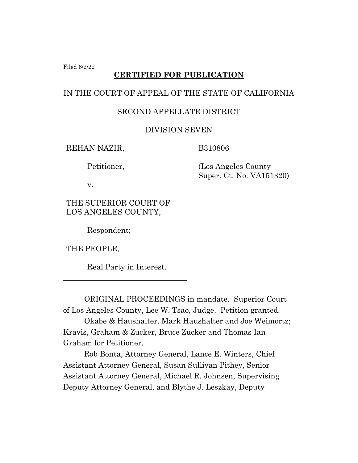Filed 6/2/22

## **CERTIFIED FOR PUBLICATION**

### IN THE COURT OF APPEAL OF THE STATE OF CALIFORNIA

## SECOND APPELLATE DISTRICT

## DIVISION SEVEN

REHAN NAZIR,

Petitioner,

v.

THE SUPERIOR COURT OF LOS ANGELES COUNTY,

Respondent;

THE PEOPLE,

Real Party in Interest.

B310806

(Los Angeles County Super. Ct. No. VA151320)

ORIGINAL PROCEEDINGS in mandate. Superior Court of Los Angeles County, Lee W. Tsao, Judge. Petition granted.

Okabe & Haushalter, Mark Haushalter and Joe Weimortz; Kravis, Graham & Zucker, Bruce Zucker and Thomas Ian Graham for Petitioner.

Rob Bonta, Attorney General, Lance E. Winters, Chief Assistant Attorney General, Susan Sullivan Pithey, Senior Assistant Attorney General, Michael R. Johnsen, Supervising Deputy Attorney General, and Blythe J. Leszkay, Deputy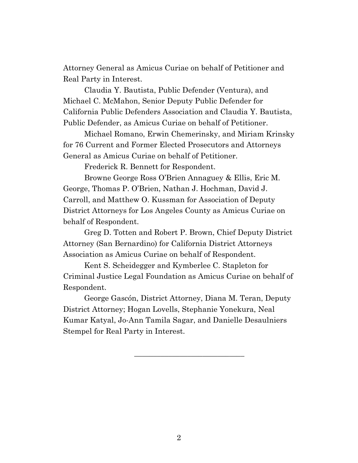Attorney General as Amicus Curiae on behalf of Petitioner and Real Party in Interest.

Claudia Y. Bautista, Public Defender (Ventura), and Michael C. McMahon, Senior Deputy Public Defender for California Public Defenders Association and Claudia Y. Bautista, Public Defender, as Amicus Curiae on behalf of Petitioner.

Michael Romano, Erwin Chemerinsky, and Miriam Krinsky for 76 Current and Former Elected Prosecutors and Attorneys General as Amicus Curiae on behalf of Petitioner.

Frederick R. Bennett for Respondent.

Browne George Ross O'Brien Annaguey & Ellis, Eric M. George, Thomas P. O'Brien, Nathan J. Hochman, David J. Carroll, and Matthew O. Kussman for Association of Deputy District Attorneys for Los Angeles County as Amicus Curiae on behalf of Respondent.

Greg D. Totten and Robert P. Brown, Chief Deputy District Attorney (San Bernardino) for California District Attorneys Association as Amicus Curiae on behalf of Respondent.

Kent S. Scheidegger and Kymberlee C. Stapleton for Criminal Justice Legal Foundation as Amicus Curiae on behalf of Respondent.

George Gascón, District Attorney, Diana M. Teran, Deputy District Attorney; Hogan Lovells, Stephanie Yonekura, Neal Kumar Katyal, Jo-Ann Tamila Sagar, and Danielle Desaulniers Stempel for Real Party in Interest.

\_\_\_\_\_\_\_\_\_\_\_\_\_\_\_\_\_\_\_\_\_\_\_\_\_\_\_\_\_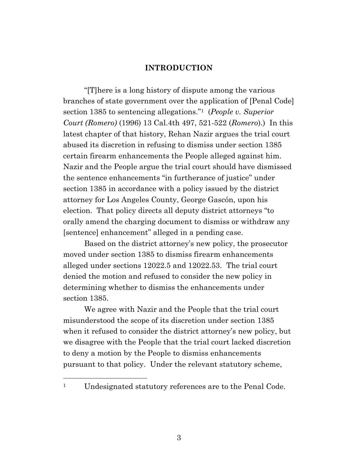### **INTRODUCTION**

"[T]here is a long history of dispute among the various branches of state government over the application of [Penal Code] section 1385 to sentencing allegations."1 (*People v. Superior Court (Romero)* (1996) 13 Cal.4th 497, 521-522 (*Romero*).) In this latest chapter of that history, Rehan Nazir argues the trial court abused its discretion in refusing to dismiss under section 1385 certain firearm enhancements the People alleged against him. Nazir and the People argue the trial court should have dismissed the sentence enhancements "in furtherance of justice" under section 1385 in accordance with a policy issued by the district attorney for Los Angeles County, George Gascón, upon his election. That policy directs all deputy district attorneys "to orally amend the charging document to dismiss or withdraw any [sentence] enhancement" alleged in a pending case.

Based on the district attorney's new policy, the prosecutor moved under section 1385 to dismiss firearm enhancements alleged under sections 12022.5 and 12022.53. The trial court denied the motion and refused to consider the new policy in determining whether to dismiss the enhancements under section 1385.

We agree with Nazir and the People that the trial court misunderstood the scope of its discretion under section 1385 when it refused to consider the district attorney's new policy, but we disagree with the People that the trial court lacked discretion to deny a motion by the People to dismiss enhancements pursuant to that policy. Under the relevant statutory scheme,

<sup>1</sup> Undesignated statutory references are to the Penal Code.

3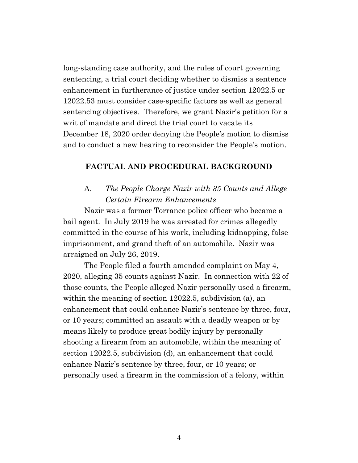long-standing case authority, and the rules of court governing sentencing, a trial court deciding whether to dismiss a sentence enhancement in furtherance of justice under section 12022.5 or 12022.53 must consider case-specific factors as well as general sentencing objectives. Therefore, we grant Nazir's petition for a writ of mandate and direct the trial court to vacate its December 18, 2020 order denying the People's motion to dismiss and to conduct a new hearing to reconsider the People's motion.

### **FACTUAL AND PROCEDURAL BACKGROUND**

## A. *The People Charge Nazir with 35 Counts and Allege Certain Firearm Enhancements*

Nazir was a former Torrance police officer who became a bail agent. In July 2019 he was arrested for crimes allegedly committed in the course of his work, including kidnapping, false imprisonment, and grand theft of an automobile. Nazir was arraigned on July 26, 2019.

The People filed a fourth amended complaint on May 4, 2020, alleging 35 counts against Nazir. In connection with 22 of those counts, the People alleged Nazir personally used a firearm, within the meaning of section 12022.5, subdivision (a), an enhancement that could enhance Nazir's sentence by three, four, or 10 years; committed an assault with a deadly weapon or by means likely to produce great bodily injury by personally shooting a firearm from an automobile, within the meaning of section 12022.5, subdivision (d), an enhancement that could enhance Nazir's sentence by three, four, or 10 years; or personally used a firearm in the commission of a felony, within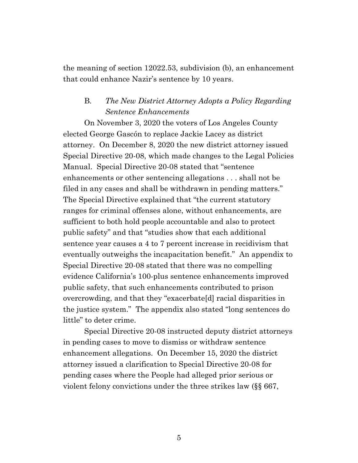the meaning of section 12022.53, subdivision (b), an enhancement that could enhance Nazir's sentence by 10 years.

## B. *The New District Attorney Adopts a Policy Regarding Sentence Enhancements*

On November 3, 2020 the voters of Los Angeles County elected George Gascón to replace Jackie Lacey as district attorney. On December 8, 2020 the new district attorney issued Special Directive 20-08, which made changes to the Legal Policies Manual. Special Directive 20-08 stated that "sentence enhancements or other sentencing allegations . . . shall not be filed in any cases and shall be withdrawn in pending matters." The Special Directive explained that "the current statutory ranges for criminal offenses alone, without enhancements, are sufficient to both hold people accountable and also to protect public safety" and that "studies show that each additional sentence year causes a 4 to 7 percent increase in recidivism that eventually outweighs the incapacitation benefit." An appendix to Special Directive 20-08 stated that there was no compelling evidence California's 100-plus sentence enhancements improved public safety, that such enhancements contributed to prison overcrowding, and that they "exacerbate[d] racial disparities in the justice system." The appendix also stated "long sentences do little" to deter crime.

Special Directive 20-08 instructed deputy district attorneys in pending cases to move to dismiss or withdraw sentence enhancement allegations. On December 15, 2020 the district attorney issued a clarification to Special Directive 20-08 for pending cases where the People had alleged prior serious or violent felony convictions under the three strikes law (§§ 667,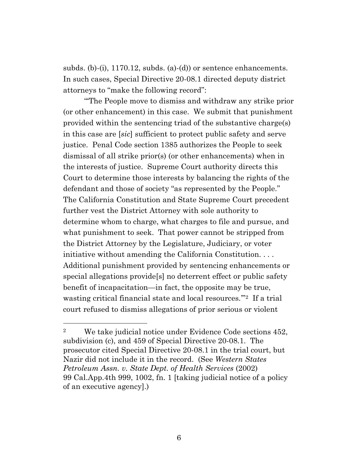subds. (b)-(i), 1170.12, subds. (a)-(d)) or sentence enhancements. In such cases, Special Directive 20-08.1 directed deputy district attorneys to "make the following record":

"'The People move to dismiss and withdraw any strike prior (or other enhancement) in this case. We submit that punishment provided within the sentencing triad of the substantive charge(s) in this case are [*sic*] sufficient to protect public safety and serve justice. Penal Code section 1385 authorizes the People to seek dismissal of all strike prior(s) (or other enhancements) when in the interests of justice. Supreme Court authority directs this Court to determine those interests by balancing the rights of the defendant and those of society "as represented by the People." The California Constitution and State Supreme Court precedent further vest the District Attorney with sole authority to determine whom to charge, what charges to file and pursue, and what punishment to seek. That power cannot be stripped from the District Attorney by the Legislature, Judiciary, or voter initiative without amending the California Constitution. . . . Additional punishment provided by sentencing enhancements or special allegations provide[s] no deterrent effect or public safety benefit of incapacitation—in fact, the opposite may be true, wasting critical financial state and local resources."<sup>2</sup> If a trial court refused to dismiss allegations of prior serious or violent

<sup>&</sup>lt;sup>2</sup> We take judicial notice under Evidence Code sections 452, subdivision (c), and 459 of Special Directive 20-08.1. The prosecutor cited Special Directive 20-08.1 in the trial court, but Nazir did not include it in the record. (See *Western States Petroleum Assn. v. State Dept. of Health Services* (2002) 99 Cal.App.4th 999, 1002, fn. 1 [taking judicial notice of a policy of an executive agency].)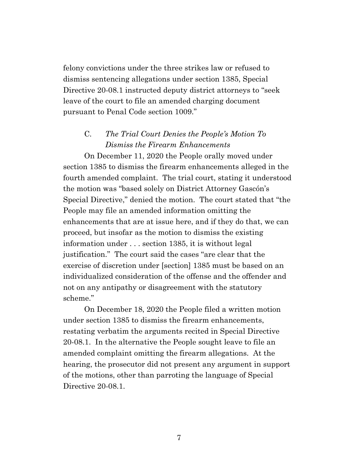felony convictions under the three strikes law or refused to dismiss sentencing allegations under section 1385, Special Directive 20-08.1 instructed deputy district attorneys to "seek leave of the court to file an amended charging document pursuant to Penal Code section 1009."

## C. *The Trial Court Denies the People's Motion To Dismiss the Firearm Enhancements*

On December 11, 2020 the People orally moved under section 1385 to dismiss the firearm enhancements alleged in the fourth amended complaint. The trial court, stating it understood the motion was "based solely on District Attorney Gascón's Special Directive," denied the motion. The court stated that "the People may file an amended information omitting the enhancements that are at issue here, and if they do that, we can proceed, but insofar as the motion to dismiss the existing information under . . . section 1385, it is without legal justification." The court said the cases "are clear that the exercise of discretion under [section] 1385 must be based on an individualized consideration of the offense and the offender and not on any antipathy or disagreement with the statutory scheme."

On December 18, 2020 the People filed a written motion under section 1385 to dismiss the firearm enhancements, restating verbatim the arguments recited in Special Directive 20-08.1. In the alternative the People sought leave to file an amended complaint omitting the firearm allegations. At the hearing, the prosecutor did not present any argument in support of the motions, other than parroting the language of Special Directive 20-08.1.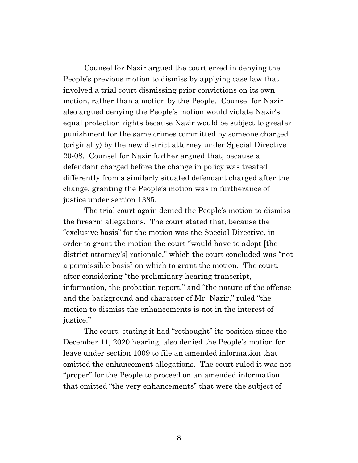Counsel for Nazir argued the court erred in denying the People's previous motion to dismiss by applying case law that involved a trial court dismissing prior convictions on its own motion, rather than a motion by the People. Counsel for Nazir also argued denying the People's motion would violate Nazir's equal protection rights because Nazir would be subject to greater punishment for the same crimes committed by someone charged (originally) by the new district attorney under Special Directive 20-08. Counsel for Nazir further argued that, because a defendant charged before the change in policy was treated differently from a similarly situated defendant charged after the change, granting the People's motion was in furtherance of justice under section 1385.

The trial court again denied the People's motion to dismiss the firearm allegations. The court stated that, because the "exclusive basis" for the motion was the Special Directive, in order to grant the motion the court "would have to adopt [the district attorney's] rationale," which the court concluded was "not a permissible basis" on which to grant the motion. The court, after considering "the preliminary hearing transcript, information, the probation report," and "the nature of the offense and the background and character of Mr. Nazir," ruled "the motion to dismiss the enhancements is not in the interest of justice."

The court, stating it had "rethought" its position since the December 11, 2020 hearing, also denied the People's motion for leave under section 1009 to file an amended information that omitted the enhancement allegations. The court ruled it was not "proper" for the People to proceed on an amended information that omitted "the very enhancements" that were the subject of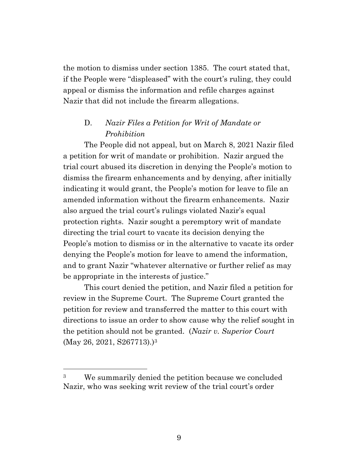the motion to dismiss under section 1385. The court stated that, if the People were "displeased" with the court's ruling, they could appeal or dismiss the information and refile charges against Nazir that did not include the firearm allegations.

## D. *Nazir Files a Petition for Writ of Mandate or Prohibition*

The People did not appeal, but on March 8, 2021 Nazir filed a petition for writ of mandate or prohibition. Nazir argued the trial court abused its discretion in denying the People's motion to dismiss the firearm enhancements and by denying, after initially indicating it would grant, the People's motion for leave to file an amended information without the firearm enhancements. Nazir also argued the trial court's rulings violated Nazir's equal protection rights. Nazir sought a peremptory writ of mandate directing the trial court to vacate its decision denying the People's motion to dismiss or in the alternative to vacate its order denying the People's motion for leave to amend the information, and to grant Nazir "whatever alternative or further relief as may be appropriate in the interests of justice."

This court denied the petition, and Nazir filed a petition for review in the Supreme Court. The Supreme Court granted the petition for review and transferred the matter to this court with directions to issue an order to show cause why the relief sought in the petition should not be granted. (*Nazir v. Superior Court*  (May 26, 2021, S267713).)<sup>3</sup>

<sup>3</sup> We summarily denied the petition because we concluded Nazir, who was seeking writ review of the trial court's order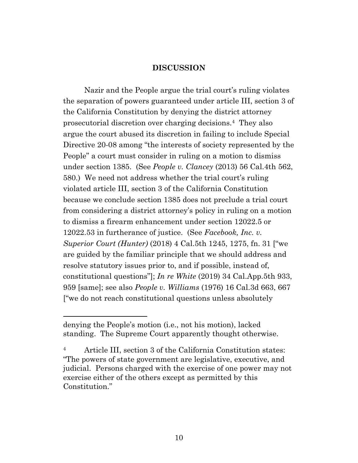#### **DISCUSSION**

Nazir and the People argue the trial court's ruling violates the separation of powers guaranteed under article III, section 3 of the California Constitution by denying the district attorney prosecutorial discretion over charging decisions.<sup>4</sup> They also argue the court abused its discretion in failing to include Special Directive 20-08 among "the interests of society represented by the People" a court must consider in ruling on a motion to dismiss under section 1385. (See *People v. Clancey* (2013) 56 Cal.4th 562, 580.) We need not address whether the trial court's ruling violated article III, section 3 of the California Constitution because we conclude section 1385 does not preclude a trial court from considering a district attorney's policy in ruling on a motion to dismiss a firearm enhancement under section 12022.5 or 12022.53 in furtherance of justice. (See *Facebook, Inc. v. Superior Court (Hunter)* (2018) 4 Cal.5th 1245, 1275, fn. 31 ["we are guided by the familiar principle that we should address and resolve statutory issues prior to, and if possible, instead of, constitutional questions"]; *In re White* (2019) 34 Cal.App.5th 933, 959 [same]; see also *People v. Williams* (1976) 16 Cal.3d 663, 667 ["we do not reach constitutional questions unless absolutely

denying the People's motion (i.e., not his motion), lacked standing. The Supreme Court apparently thought otherwise.

<sup>4</sup> Article III, section 3 of the California Constitution states: "The powers of state government are legislative, executive, and judicial. Persons charged with the exercise of one power may not exercise either of the others except as permitted by this Constitution."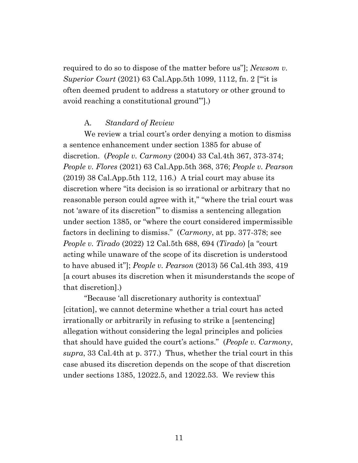required to do so to dispose of the matter before us"]; *Newsom v. Superior Court* (2021) 63 Cal.App.5th 1099, 1112, fn. 2 ["'it is often deemed prudent to address a statutory or other ground to avoid reaching a constitutional ground'"].)

#### A. *Standard of Review*

We review a trial court's order denying a motion to dismiss a sentence enhancement under section 1385 for abuse of discretion. (*People v. Carmony* (2004) 33 Cal.4th 367, 373-374; *People v. Flores* (2021) 63 Cal.App.5th 368, 376; *People v. Pearson*  $(2019)$  38 Cal.App.5th 112, 116.) A trial court may abuse its discretion where "its decision is so irrational or arbitrary that no reasonable person could agree with it," "where the trial court was not 'aware of its discretion'" to dismiss a sentencing allegation under section 1385, or "where the court considered impermissible factors in declining to dismiss." (*Carmony*, at pp. 377-378; see *People v. Tirado* (2022) 12 Cal.5th 688, 694 (*Tirado*) [a "court acting while unaware of the scope of its discretion is understood to have abused it"]; *People v. Pearson* (2013) 56 Cal.4th 393, 419 [a court abuses its discretion when it misunderstands the scope of that discretion].)

"Because 'all discretionary authority is contextual' [citation], we cannot determine whether a trial court has acted irrationally or arbitrarily in refusing to strike a [sentencing] allegation without considering the legal principles and policies that should have guided the court's actions." (*People v. Carmony*, *supra*, 33 Cal.4th at p. 377.) Thus, whether the trial court in this case abused its discretion depends on the scope of that discretion under sections 1385, 12022.5, and 12022.53. We review this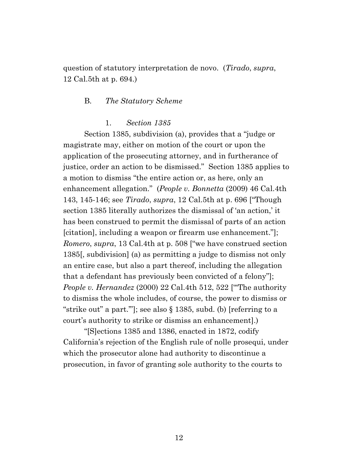question of statutory interpretation de novo. (*Tirado*, *supra*, 12 Cal.5th at p. 694.)

#### B. *The Statutory Scheme*

#### 1. *Section 1385*

Section 1385, subdivision (a), provides that a "judge or magistrate may, either on motion of the court or upon the application of the prosecuting attorney, and in furtherance of justice, order an action to be dismissed." Section 1385 applies to a motion to dismiss "the entire action or, as here, only an enhancement allegation." (*People v. Bonnetta* (2009) 46 Cal.4th 143, 145-146; see *Tirado*, *supra*, 12 Cal.5th at p. 696 ["Though section 1385 literally authorizes the dismissal of 'an action,' it has been construed to permit the dismissal of parts of an action [citation], including a weapon or firearm use enhancement."]; *Romero*, *supra*, 13 Cal.4th at p. 508 ["we have construed section 1385[, subdivision] (a) as permitting a judge to dismiss not only an entire case, but also a part thereof, including the allegation that a defendant has previously been convicted of a felony"]; *People v. Hernandez* (2000) 22 Cal.4th 512, 522 ["'The authority to dismiss the whole includes, of course, the power to dismiss or "strike out" a part.'"]; see also § 1385, subd. (b) [referring to a court's authority to strike or dismiss an enhancement].)

"[S]ections 1385 and 1386, enacted in 1872, codify California's rejection of the English rule of nolle prosequi, under which the prosecutor alone had authority to discontinue a prosecution, in favor of granting sole authority to the courts to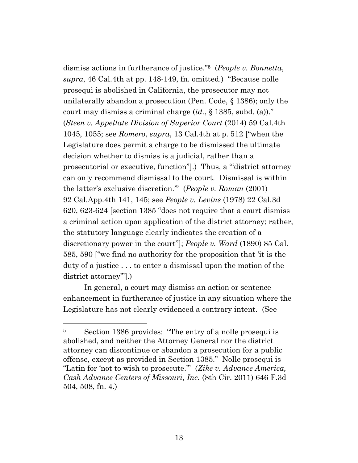dismiss actions in furtherance of justice."<sup>5</sup> (*People v. Bonnetta*, *supra*, 46 Cal.4th at pp. 148-149, fn. omitted.) "Because nolle prosequi is abolished in California, the prosecutor may not unilaterally abandon a prosecution (Pen. Code, § 1386); only the court may dismiss a criminal charge (*id.*, § 1385, subd. (a))." (*Steen v. Appellate Division of Superior Court* (2014) 59 Cal.4th 1045, 1055; see *Romero*, *supra*, 13 Cal.4th at p. 512 ["when the Legislature does permit a charge to be dismissed the ultimate decision whether to dismiss is a judicial, rather than a prosecutorial or executive, function"].) Thus, a "'district attorney can only recommend dismissal to the court. Dismissal is within the latter's exclusive discretion.'" (*People v. Roman* (2001) 92 Cal.App.4th 141, 145; see *People v. Levins* (1978) 22 Cal.3d 620, 623-624 [section 1385 "does not require that a court dismiss a criminal action upon application of the district attorney; rather, the statutory language clearly indicates the creation of a discretionary power in the court"]; *People v. Ward* (1890) 85 Cal. 585, 590 ["we find no authority for the proposition that 'it is the duty of a justice . . . to enter a dismissal upon the motion of the district attorney'"].)

In general, a court may dismiss an action or sentence enhancement in furtherance of justice in any situation where the Legislature has not clearly evidenced a contrary intent. (See

<sup>5</sup> Section 1386 provides: "The entry of a nolle prosequi is abolished, and neither the Attorney General nor the district attorney can discontinue or abandon a prosecution for a public offense, except as provided in Section 1385." Nolle prosequi is "Latin for 'not to wish to prosecute.'" (*Zike v. Advance America, Cash Advance Centers of Missouri, Inc.* (8th Cir. 2011) 646 F.3d 504, 508, fn. 4.)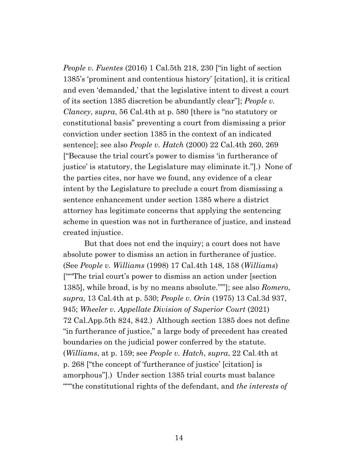*People v. Fuentes* (2016) 1 Cal.5th 218, 230 ["in light of section 1385's 'prominent and contentious history' [citation], it is critical and even 'demanded,' that the legislative intent to divest a court of its section 1385 discretion be abundantly clear"]; *People v. Clancey*, *supra*, 56 Cal.4th at p. 580 [there is "no statutory or constitutional basis" preventing a court from dismissing a prior conviction under section 1385 in the context of an indicated sentence]; see also *People v. Hatch* (2000) 22 Cal.4th 260, 269 ["Because the trial court's power to dismiss 'in furtherance of justice' is statutory, the Legislature may eliminate it."].) None of the parties cites, nor have we found, any evidence of a clear intent by the Legislature to preclude a court from dismissing a sentence enhancement under section 1385 where a district attorney has legitimate concerns that applying the sentencing scheme in question was not in furtherance of justice, and instead created injustice.

But that does not end the inquiry; a court does not have absolute power to dismiss an action in furtherance of justice. (See *People v. Williams* (1998) 17 Cal.4th 148, 158 (*Williams*) ["'"The trial court's power to dismiss an action under [section 1385], while broad, is by no means absolute."'"]; see also *Romero*, *supra*, 13 Cal.4th at p. 530; *People v. Orin* (1975) 13 Cal.3d 937, 945; *Wheeler v. Appellate Division of Superior Court* (2021) 72 Cal.App.5th 824, 842.) Although section 1385 does not define "in furtherance of justice," a large body of precedent has created boundaries on the judicial power conferred by the statute. (*Williams*, at p. 159; see *People v. Hatch*, *supra*, 22 Cal.4th at p. 268 ["the concept of 'furtherance of justice' [citation] is amorphous"].) Under section 1385 trial courts must balance "'"'the constitutional rights of the defendant, and *the interests of*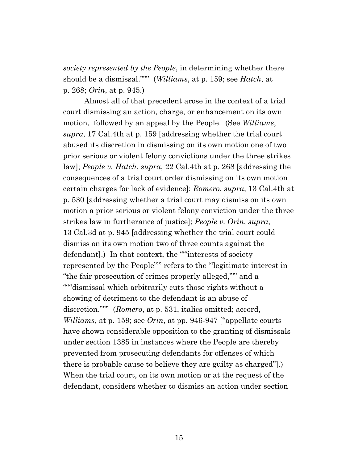*society represented by the People*, in determining whether there should be a dismissal.'"'" (*Williams*, at p. 159; see *Hatch*, at p. 268; *Orin*, at p. 945.)

Almost all of that precedent arose in the context of a trial court dismissing an action, charge, or enhancement on its own motion, followed by an appeal by the People. (See *Williams*, *supra*, 17 Cal.4th at p. 159 [addressing whether the trial court abused its discretion in dismissing on its own motion one of two prior serious or violent felony convictions under the three strikes law]; *People v. Hatch*, *supra*, 22 Cal.4th at p. 268 [addressing the consequences of a trial court order dismissing on its own motion certain charges for lack of evidence]; *Romero*, *supra*, 13 Cal.4th at p. 530 [addressing whether a trial court may dismiss on its own motion a prior serious or violent felony conviction under the three strikes law in furtherance of justice]; *People v. Orin*, *supra*, 13 Cal.3d at p. 945 [addressing whether the trial court could dismiss on its own motion two of three counts against the defendant].) In that context, the ""interests of society represented by the People"'" refers to the "'legitimate interest in "the fair prosecution of crimes properly alleged,"'" and a """dismissal which arbitrarily cuts those rights without a showing of detriment to the defendant is an abuse of discretion.'"'" (*Romero*, at p. 531, italics omitted; accord, *Williams*, at p. 159; see *Orin*, at pp. 946-947 ["appellate courts have shown considerable opposition to the granting of dismissals under section 1385 in instances where the People are thereby prevented from prosecuting defendants for offenses of which there is probable cause to believe they are guilty as charged"].) When the trial court, on its own motion or at the request of the defendant, considers whether to dismiss an action under section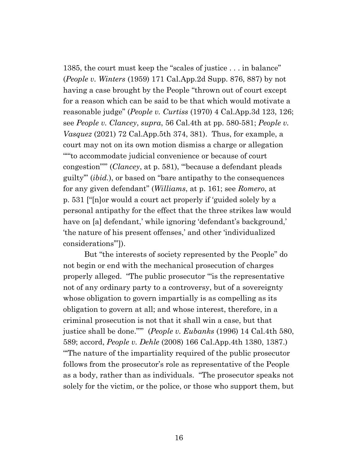1385, the court must keep the "scales of justice . . . in balance" (*People v. Winters* (1959) 171 Cal.App.2d Supp. 876, 887) by not having a case brought by the People "thrown out of court except for a reason which can be said to be that which would motivate a reasonable judge" (*People v. Curtiss* (1970) 4 Cal.App.3d 123, 126; see *People v. Clancey*, *supra*, 56 Cal.4th at pp. 580-581; *People v. Vasquez* (2021) 72 Cal.App.5th 374, 381). Thus, for example, a court may not on its own motion dismiss a charge or allegation "'"to accommodate judicial convenience or because of court congestion"'" (*Clancey*, at p. 581), "'because a defendant pleads guilty'" (*ibid.*), or based on "bare antipathy to the consequences for any given defendant" (*Williams*, at p. 161; see *Romero*, at p. 531 ["[n]or would a court act properly if 'guided solely by a personal antipathy for the effect that the three strikes law would have on [a] defendant,' while ignoring 'defendant's background,' 'the nature of his present offenses,' and other 'individualized considerations'"]).

But "the interests of society represented by the People" do not begin or end with the mechanical prosecution of charges properly alleged. "The public prosecutor '"is the representative not of any ordinary party to a controversy, but of a sovereignty whose obligation to govern impartially is as compelling as its obligation to govern at all; and whose interest, therefore, in a criminal prosecution is not that it shall win a case, but that justice shall be done."'" (*People v. Eubanks* (1996) 14 Cal.4th 580, 589; accord, *People v. Dehle* (2008) 166 Cal.App.4th 1380, 1387.) "'The nature of the impartiality required of the public prosecutor follows from the prosecutor's role as representative of the People as a body, rather than as individuals. "The prosecutor speaks not solely for the victim, or the police, or those who support them, but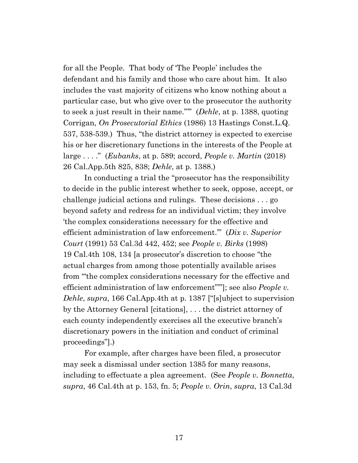for all the People. That body of 'The People' includes the defendant and his family and those who care about him. It also includes the vast majority of citizens who know nothing about a particular case, but who give over to the prosecutor the authority to seek a just result in their name."'" (*Dehle*, at p. 1388, quoting Corrigan, *On Prosecutorial Ethics* (1986) 13 Hastings Const.L.Q. 537, 538-539.) Thus, "the district attorney is expected to exercise his or her discretionary functions in the interests of the People at large . . . ." (*Eubanks*, at p. 589; accord, *People v. Martin* (2018) 26 Cal.App.5th 825, 838; *Dehle*, at p. 1388.)

In conducting a trial the "prosecutor has the responsibility to decide in the public interest whether to seek, oppose, accept, or challenge judicial actions and rulings. These decisions . . . go beyond safety and redress for an individual victim; they involve 'the complex considerations necessary for the effective and efficient administration of law enforcement.'" (*Dix v. Superior Court* (1991) 53 Cal.3d 442, 452; see *People v. Birks* (1998) 19 Cal.4th 108, 134 [a prosecutor's discretion to choose "the actual charges from among those potentially available arises from '"the complex considerations necessary for the effective and efficient administration of law enforcement"'"]; see also *People v. Dehle*, *supra*, 166 Cal.App.4th at p. 1387 ["[s]ubject to supervision by the Attorney General [citations], . . . the district attorney of each county independently exercises all the executive branch's discretionary powers in the initiation and conduct of criminal proceedings"].)

For example, after charges have been filed, a prosecutor may seek a dismissal under section 1385 for many reasons, including to effectuate a plea agreement. (See *People v. Bonnetta*, *supra*, 46 Cal.4th at p. 153, fn. 5; *People v. Orin*, *supra*, 13 Cal.3d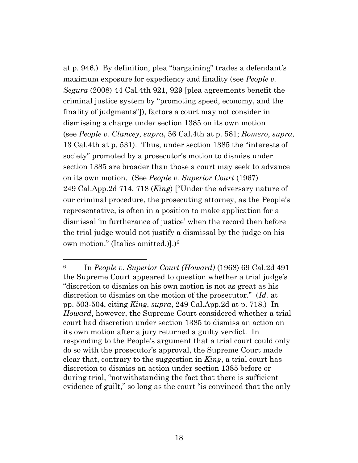at p. 946.) By definition, plea "bargaining" trades a defendant's maximum exposure for expediency and finality (see *People v. Segura* (2008) 44 Cal.4th 921, 929 [plea agreements benefit the criminal justice system by "promoting speed, economy, and the finality of judgments"]), factors a court may not consider in dismissing a charge under section 1385 on its own motion (see *People v. Clancey*, *supra*, 56 Cal.4th at p. 581; *Romero*, *supra*, 13 Cal.4th at p. 531). Thus, under section 1385 the "interests of society" promoted by a prosecutor's motion to dismiss under section 1385 are broader than those a court may seek to advance on its own motion. (See *People v. Superior Court* (1967) 249 Cal.App.2d 714, 718 (*King*) ["Under the adversary nature of our criminal procedure, the prosecuting attorney, as the People's representative, is often in a position to make application for a dismissal 'in furtherance of justice' when the record then before the trial judge would not justify a dismissal by the judge on his own motion." (Italics omitted.)].)<sup>6</sup>

<sup>6</sup> In *People v. Superior Court (Howard)* (1968) 69 Cal.2d 491 the Supreme Court appeared to question whether a trial judge's "discretion to dismiss on his own motion is not as great as his discretion to dismiss on the motion of the prosecutor." (*Id.* at pp. 503-504, citing *King*, *supra*, 249 Cal.App.2d at p. 718.) In *Howard*, however, the Supreme Court considered whether a trial court had discretion under section 1385 to dismiss an action on its own motion after a jury returned a guilty verdict. In responding to the People's argument that a trial court could only do so with the prosecutor's approval, the Supreme Court made clear that, contrary to the suggestion in *King*, a trial court has discretion to dismiss an action under section 1385 before or during trial, "notwithstanding the fact that there is sufficient evidence of guilt," so long as the court "is convinced that the only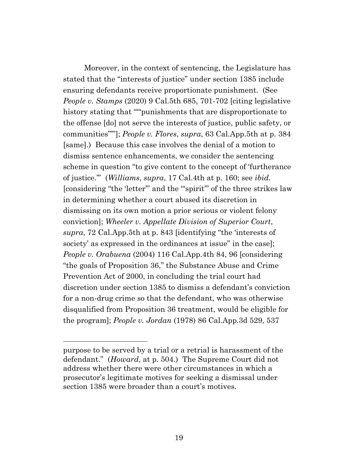Moreover, in the context of sentencing, the Legislature has stated that the "interests of justice" under section 1385 include ensuring defendants receive proportionate punishment. (See *People v. Stamps* (2020) 9 Cal.5th 685, 701-702 [citing legislative history stating that "'"punishments that are disproportionate to the offense [do] not serve the interests of justice, public safety, or communities"'"]; *People v. Flores*, *supra*, 63 Cal.App.5th at p. 384 [same].) Because this case involves the denial of a motion to dismiss sentence enhancements, we consider the sentencing scheme in question "to give content to the concept of 'furtherance of justice.'" (*Williams*, *supra*, 17 Cal.4th at p. 160; see *ibid.* [considering "the 'letter'" and the "'spirit'" of the three strikes law in determining whether a court abused its discretion in dismissing on its own motion a prior serious or violent felony conviction]; *Wheeler v. Appellate Division of Superior Court*, *supra*, 72 Cal.App.5th at p. 843 [identifying "the 'interests of society' as expressed in the ordinances at issue" in the case]; *People v. Orabuena* (2004) 116 Cal.App.4th 84, 96 [considering "the goals of Proposition 36," the Substance Abuse and Crime Prevention Act of 2000, in concluding the trial court had discretion under section 1385 to dismiss a defendant's conviction for a non-drug crime so that the defendant, who was otherwise disqualified from Proposition 36 treatment, would be eligible for the program]; *People v. Jordan* (1978) 86 Cal.App.3d 529, 537

purpose to be served by a trial or a retrial is harassment of the defendant." (*Howard*, at p. 504.) The Supreme Court did not address whether there were other circumstances in which a prosecutor's legitimate motives for seeking a dismissal under section 1385 were broader than a court's motives.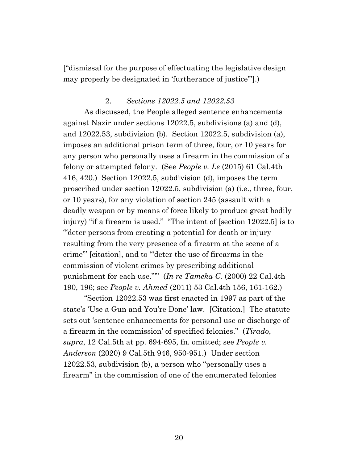["dismissal for the purpose of effectuating the legislative design may properly be designated in 'furtherance of justice'"].)

#### 2. *Sections 12022.5 and 12022.53*

As discussed, the People alleged sentence enhancements against Nazir under sections 12022.5, subdivisions (a) and (d), and 12022.53, subdivision (b). Section 12022.5, subdivision (a), imposes an additional prison term of three, four, or 10 years for any person who personally uses a firearm in the commission of a felony or attempted felony. (See *People v. Le* (2015) 61 Cal.4th 416, 420.) Section 12022.5, subdivision (d), imposes the term proscribed under section 12022.5, subdivision (a) (i.e., three, four, or 10 years), for any violation of section 245 (assault with a deadly weapon or by means of force likely to produce great bodily injury) "if a firearm is used." "The intent of [section 12022.5] is to '"deter persons from creating a potential for death or injury resulting from the very presence of a firearm at the scene of a crime"' [citation], and to '"deter the use of firearms in the commission of violent crimes by prescribing additional punishment for each use."'" (*In re Tameka C.* (2000) 22 Cal.4th 190, 196; see *People v. Ahmed* (2011) 53 Cal.4th 156, 161-162.)

"Section 12022.53 was first enacted in 1997 as part of the state's 'Use a Gun and You're Done' law. [Citation.] The statute sets out 'sentence enhancements for personal use or discharge of a firearm in the commission' of specified felonies." (*Tirado*, *supra*, 12 Cal.5th at pp. 694-695, fn. omitted; see *People v. Anderson* (2020) 9 Cal.5th 946, 950-951.) Under section 12022.53, subdivision (b), a person who "personally uses a firearm" in the commission of one of the enumerated felonies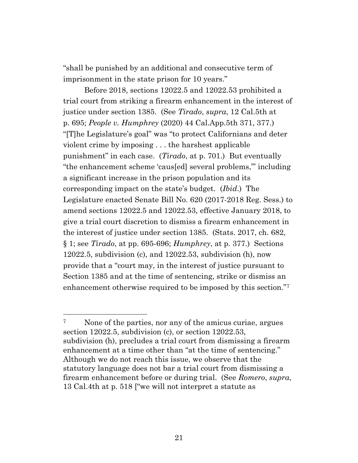"shall be punished by an additional and consecutive term of imprisonment in the state prison for 10 years."

Before 2018, sections 12022.5 and 12022.53 prohibited a trial court from striking a firearm enhancement in the interest of justice under section 1385. (See *Tirado*, *supra*, 12 Cal.5th at p. 695; *People v. Humphrey* (2020) 44 Cal.App.5th 371, 377.) "[T]he Legislature's goal" was "to protect Californians and deter violent crime by imposing . . . the harshest applicable punishment" in each case. (*Tirado*, at p. 701.) But eventually "the enhancement scheme 'caus[ed] several problems,'" including a significant increase in the prison population and its corresponding impact on the state's budget. (*Ibid*.) The Legislature enacted Senate Bill No. 620 (2017-2018 Reg. Sess.) to amend sections 12022.5 and 12022.53, effective January 2018, to give a trial court discretion to dismiss a firearm enhancement in the interest of justice under section 1385. (Stats. 2017, ch. 682, § 1; see *Tirado*, at pp. 695-696; *Humphrey*, at p. 377.) Sections 12022.5, subdivision (c), and 12022.53, subdivision (h), now provide that a "court may, in the interest of justice pursuant to Section 1385 and at the time of sentencing, strike or dismiss an enhancement otherwise required to be imposed by this section."<sup>7</sup>

<sup>&</sup>lt;sup>7</sup> None of the parties, nor any of the amicus curiae, argues section 12022.5, subdivision (c), or section 12022.53, subdivision (h), precludes a trial court from dismissing a firearm enhancement at a time other than "at the time of sentencing." Although we do not reach this issue, we observe that the statutory language does not bar a trial court from dismissing a firearm enhancement before or during trial. (See *Romero*, *supra*, 13 Cal.4th at p. 518 ["we will not interpret a statute as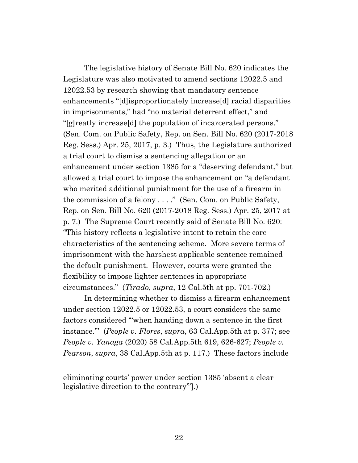The legislative history of Senate Bill No. 620 indicates the Legislature was also motivated to amend sections 12022.5 and 12022.53 by research showing that mandatory sentence enhancements "[d]isproportionately increase[d] racial disparities in imprisonments," had "no material deterrent effect," and "[g]reatly increase[d] the population of incarcerated persons." (Sen. Com. on Public Safety, Rep. on Sen. Bill No. 620 (2017-2018 Reg. Sess.) Apr. 25, 2017, p. 3.) Thus, the Legislature authorized a trial court to dismiss a sentencing allegation or an enhancement under section 1385 for a "deserving defendant," but allowed a trial court to impose the enhancement on "a defendant who merited additional punishment for the use of a firearm in the commission of a felony . . . ." (Sen. Com. on Public Safety, Rep. on Sen. Bill No. 620 (2017-2018 Reg. Sess.) Apr. 25, 2017 at p. 7.) The Supreme Court recently said of Senate Bill No. 620: "This history reflects a legislative intent to retain the core characteristics of the sentencing scheme. More severe terms of imprisonment with the harshest applicable sentence remained the default punishment. However, courts were granted the flexibility to impose lighter sentences in appropriate circumstances." (*Tirado*, *supra*, 12 Cal.5th at pp. 701-702.)

In determining whether to dismiss a firearm enhancement under section 12022.5 or 12022.53, a court considers the same factors considered "'when handing down a sentence in the first instance.'" (*People v. Flores*, *supra*, 63 Cal.App.5th at p. 377; see *People v. Yanaga* (2020) 58 Cal.App.5th 619, 626-627; *People v. Pearson*, *supra*, 38 Cal.App.5th at p. 117.) These factors include

eliminating courts' power under section 1385 'absent a clear legislative direction to the contrary'"].)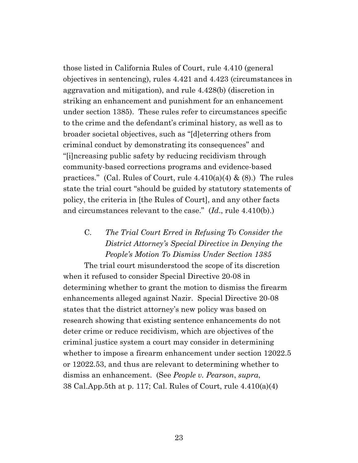those listed in California Rules of Court, rule 4.410 (general objectives in sentencing), rules 4.421 and 4.423 (circumstances in aggravation and mitigation), and rule 4.428(b) (discretion in striking an enhancement and punishment for an enhancement under section 1385). These rules refer to circumstances specific to the crime and the defendant's criminal history, as well as to broader societal objectives, such as "[d]eterring others from criminal conduct by demonstrating its consequences" and "[i]ncreasing public safety by reducing recidivism through community-based corrections programs and evidence-based practices." (Cal. Rules of Court, rule  $4.410(a)(4)$  &  $(8)$ .) The rules state the trial court "should be guided by statutory statements of policy, the criteria in [the Rules of Court], and any other facts and circumstances relevant to the case." (*Id*., rule 4.410(b).)

# C. *The Trial Court Erred in Refusing To Consider the District Attorney's Special Directive in Denying the People's Motion To Dismiss Under Section 1385*

The trial court misunderstood the scope of its discretion when it refused to consider Special Directive 20-08 in determining whether to grant the motion to dismiss the firearm enhancements alleged against Nazir. Special Directive 20-08 states that the district attorney's new policy was based on research showing that existing sentence enhancements do not deter crime or reduce recidivism, which are objectives of the criminal justice system a court may consider in determining whether to impose a firearm enhancement under section 12022.5 or 12022.53, and thus are relevant to determining whether to dismiss an enhancement. (See *People v. Pearson*, *supra*, 38 Cal.App.5th at p. 117; Cal. Rules of Court, rule 4.410(a)(4)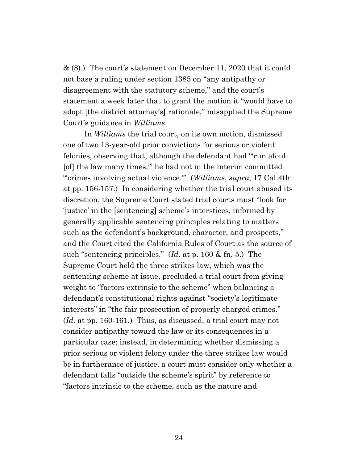& (8).) The court's statement on December 11, 2020 that it could not base a ruling under section 1385 on "any antipathy or disagreement with the statutory scheme," and the court's statement a week later that to grant the motion it "would have to adopt [the district attorney's] rationale," misapplied the Supreme Court's guidance in *Williams*.

In *Williams* the trial court, on its own motion, dismissed one of two 13-year-old prior convictions for serious or violent felonies, observing that, although the defendant had "'run afoul [of] the law many times,'" he had not in the interim committed "'crimes involving actual violence.'" (*Williams*, *supra*, 17 Cal.4th at pp. 156-157.) In considering whether the trial court abused its discretion, the Supreme Court stated trial courts must "look for 'justice' in the [sentencing] scheme's interstices, informed by generally applicable sentencing principles relating to matters such as the defendant's background, character, and prospects," and the Court cited the California Rules of Court as the source of such "sentencing principles." (*Id.* at p. 160 & fn. 5.) The Supreme Court held the three strikes law, which was the sentencing scheme at issue, precluded a trial court from giving weight to "factors extrinsic to the scheme" when balancing a defendant's constitutional rights against "society's legitimate interests" in "the fair prosecution of properly charged crimes." (*Id.* at pp. 160-161.) Thus, as discussed, a trial court may not consider antipathy toward the law or its consequences in a particular case; instead, in determining whether dismissing a prior serious or violent felony under the three strikes law would be in furtherance of justice, a court must consider only whether a defendant falls "outside the scheme's spirit" by reference to "factors intrinsic to the scheme, such as the nature and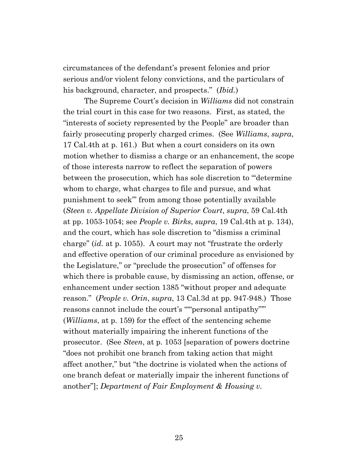circumstances of the defendant's present felonies and prior serious and/or violent felony convictions, and the particulars of his background, character, and prospects." (*Ibid.*)

The Supreme Court's decision in *Williams* did not constrain the trial court in this case for two reasons. First, as stated, the "interests of society represented by the People" are broader than fairly prosecuting properly charged crimes. (See *Williams*, *supra*, 17 Cal.4th at p. 161.) But when a court considers on its own motion whether to dismiss a charge or an enhancement, the scope of those interests narrow to reflect the separation of powers between the prosecution, which has sole discretion to "'determine whom to charge, what charges to file and pursue, and what punishment to seek'" from among those potentially available (*Steen v. Appellate Division of Superior Court*, *supra*, 59 Cal.4th at pp. 1053-1054; see *People v. Birks*, *supra*, 19 Cal.4th at p. 134), and the court, which has sole discretion to "dismiss a criminal charge" (*id.* at p. 1055). A court may not "frustrate the orderly and effective operation of our criminal procedure as envisioned by the Legislature," or "preclude the prosecution" of offenses for which there is probable cause, by dismissing an action, offense, or enhancement under section 1385 "without proper and adequate reason." (*People v. Orin*, *supra*, 13 Cal.3d at pp. 947-948.) Those reasons cannot include the court's "'"personal antipathy"'" (*Williams*, at p. 159) for the effect of the sentencing scheme without materially impairing the inherent functions of the prosecutor. (See *Steen*, at p. 1053 [separation of powers doctrine "does not prohibit one branch from taking action that might affect another," but "the doctrine is violated when the actions of one branch defeat or materially impair the inherent functions of another"]; *Department of Fair Employment & Housing v.*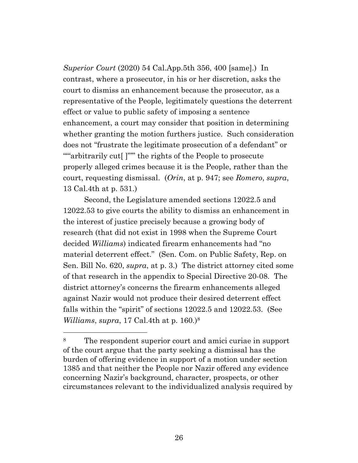*Superior Court* (2020) 54 Cal.App.5th 356, 400 [same].) In contrast, where a prosecutor, in his or her discretion, asks the court to dismiss an enhancement because the prosecutor, as a representative of the People, legitimately questions the deterrent effect or value to public safety of imposing a sentence enhancement, a court may consider that position in determining whether granting the motion furthers justice. Such consideration does not "frustrate the legitimate prosecution of a defendant" or ""arbitrarily cut<sup>['''"</sup> the rights of the People to prosecute properly alleged crimes because it is the People, rather than the court, requesting dismissal. (*Orin*, at p. 947; see *Romero*, *supra*, 13 Cal.4th at p. 531.)

Second, the Legislature amended sections 12022.5 and 12022.53 to give courts the ability to dismiss an enhancement in the interest of justice precisely because a growing body of research (that did not exist in 1998 when the Supreme Court decided *Williams*) indicated firearm enhancements had "no material deterrent effect." (Sen. Com. on Public Safety, Rep. on Sen. Bill No. 620, *supra*, at p. 3.) The district attorney cited some of that research in the appendix to Special Directive 20-08. The district attorney's concerns the firearm enhancements alleged against Nazir would not produce their desired deterrent effect falls within the "spirit" of sections 12022.5 and 12022.53. (See *Williams*, *supra*, 17 Cal.4th at p. 160.)<sup>8</sup>

<sup>8</sup> The respondent superior court and amici curiae in support of the court argue that the party seeking a dismissal has the burden of offering evidence in support of a motion under section 1385 and that neither the People nor Nazir offered any evidence concerning Nazir's background, character, prospects, or other circumstances relevant to the individualized analysis required by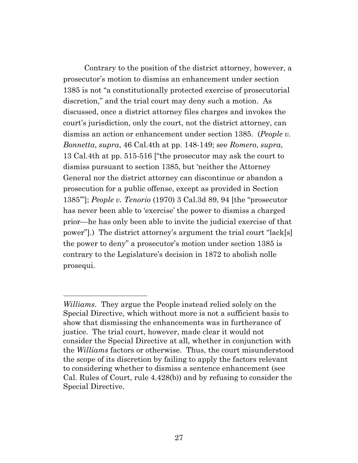Contrary to the position of the district attorney, however, a prosecutor's motion to dismiss an enhancement under section 1385 is not "a constitutionally protected exercise of prosecutorial discretion," and the trial court may deny such a motion. As discussed, once a district attorney files charges and invokes the court's jurisdiction, only the court, not the district attorney, can dismiss an action or enhancement under section 1385. (*People v. Bonnetta*, *supra*, 46 Cal.4th at pp. 148-149; see *Romero*, *supra*, 13 Cal.4th at pp. 515-516 ["the prosecutor may ask the court to dismiss pursuant to section 1385, but 'neither the Attorney General nor the district attorney can discontinue or abandon a prosecution for a public offense, except as provided in Section 1385'"]; *People v. Tenorio* (1970) 3 Cal.3d 89, 94 [the "prosecutor has never been able to 'exercise' the power to dismiss a charged prior—he has only been able to invite the judicial exercise of that power"].) The district attorney's argument the trial court "lack[s] the power to deny" a prosecutor's motion under section 1385 is contrary to the Legislature's decision in 1872 to abolish nolle prosequi.

*Williams*. They argue the People instead relied solely on the Special Directive, which without more is not a sufficient basis to show that dismissing the enhancements was in furtherance of justice. The trial court, however, made clear it would not consider the Special Directive at all, whether in conjunction with the *Williams* factors or otherwise. Thus, the court misunderstood the scope of its discretion by failing to apply the factors relevant to considering whether to dismiss a sentence enhancement (see Cal. Rules of Court, rule 4.428(b)) and by refusing to consider the Special Directive.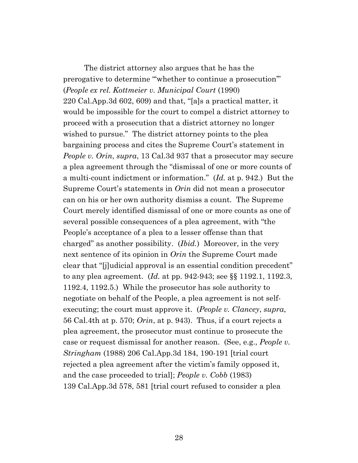The district attorney also argues that he has the prerogative to determine "'whether to continue a prosecution'" (*People ex rel. Kottmeier v. Municipal Court* (1990) 220 Cal.App.3d 602, 609) and that, "[a]s a practical matter, it would be impossible for the court to compel a district attorney to proceed with a prosecution that a district attorney no longer wished to pursue." The district attorney points to the plea bargaining process and cites the Supreme Court's statement in *People v. Orin*, *supra*, 13 Cal.3d 937 that a prosecutor may secure a plea agreement through the "dismissal of one or more counts of a multi-count indictment or information." (*Id.* at p. 942.) But the Supreme Court's statements in *Orin* did not mean a prosecutor can on his or her own authority dismiss a count. The Supreme Court merely identified dismissal of one or more counts as one of several possible consequences of a plea agreement, with "the People's acceptance of a plea to a lesser offense than that charged" as another possibility. (*Ibid.*) Moreover, in the very next sentence of its opinion in *Orin* the Supreme Court made clear that "[j]udicial approval is an essential condition precedent" to any plea agreement. (*Id.* at pp. 942-943; see §§ 1192.1, 1192.3, 1192.4, 1192.5.) While the prosecutor has sole authority to negotiate on behalf of the People, a plea agreement is not selfexecuting; the court must approve it. (*People v. Clancey*, *supra*, 56 Cal.4th at p. 570; *Orin*, at p. 943). Thus, if a court rejects a plea agreement, the prosecutor must continue to prosecute the case or request dismissal for another reason. (See, e.g., *People v. Stringham* (1988) 206 Cal.App.3d 184, 190-191 [trial court rejected a plea agreement after the victim's family opposed it, and the case proceeded to trial]; *People v. Cobb* (1983) 139 Cal.App.3d 578, 581 [trial court refused to consider a plea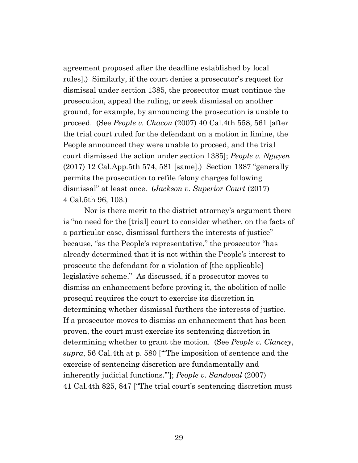agreement proposed after the deadline established by local rules].) Similarly, if the court denies a prosecutor's request for dismissal under section 1385, the prosecutor must continue the prosecution, appeal the ruling, or seek dismissal on another ground, for example, by announcing the prosecution is unable to proceed. (See *People v. Chacon* (2007) 40 Cal.4th 558, 561 [after the trial court ruled for the defendant on a motion in limine, the People announced they were unable to proceed, and the trial court dismissed the action under section 1385]; *People v. Nguyen* (2017) 12 Cal.App.5th 574, 581 [same].) Section 1387 "generally permits the prosecution to refile felony charges following dismissal" at least once. (*Jackson v. Superior Court* (2017) 4 Cal.5th 96, 103.)

Nor is there merit to the district attorney's argument there is "no need for the [trial] court to consider whether, on the facts of a particular case, dismissal furthers the interests of justice" because, "as the People's representative," the prosecutor "has already determined that it is not within the People's interest to prosecute the defendant for a violation of [the applicable] legislative scheme." As discussed, if a prosecutor moves to dismiss an enhancement before proving it, the abolition of nolle prosequi requires the court to exercise its discretion in determining whether dismissal furthers the interests of justice. If a prosecutor moves to dismiss an enhancement that has been proven, the court must exercise its sentencing discretion in determining whether to grant the motion. (See *People v. Clancey*, *supra*, 56 Cal.4th at p. 580 ["'The imposition of sentence and the exercise of sentencing discretion are fundamentally and inherently judicial functions.'"]; *People v. Sandoval* (2007) 41 Cal.4th 825, 847 ["The trial court's sentencing discretion must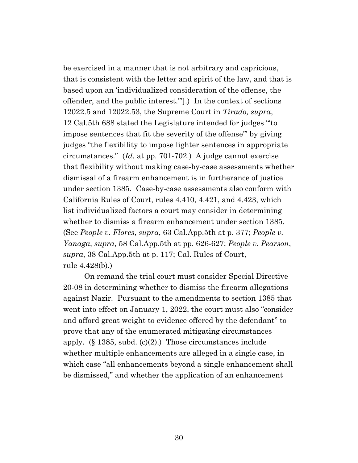be exercised in a manner that is not arbitrary and capricious, that is consistent with the letter and spirit of the law, and that is based upon an 'individualized consideration of the offense, the offender, and the public interest.'"].) In the context of sections 12022.5 and 12022.53, the Supreme Court in *Tirado, supra*, 12 Cal.5th 688 stated the Legislature intended for judges "'to impose sentences that fit the severity of the offense'" by giving judges "the flexibility to impose lighter sentences in appropriate circumstances." (*Id.* at pp. 701-702.) A judge cannot exercise that flexibility without making case-by-case assessments whether dismissal of a firearm enhancement is in furtherance of justice under section 1385. Case-by-case assessments also conform with California Rules of Court, rules 4.410, 4.421, and 4.423, which list individualized factors a court may consider in determining whether to dismiss a firearm enhancement under section 1385. (See *People v. Flores*, *supra*, 63 Cal.App.5th at p. 377; *People v. Yanaga*, *supra*, 58 Cal.App.5th at pp. 626-627; *People v. Pearson*, *supra*, 38 Cal.App.5th at p. 117; Cal. Rules of Court, rule 4.428(b).)

On remand the trial court must consider Special Directive 20-08 in determining whether to dismiss the firearm allegations against Nazir. Pursuant to the amendments to section 1385 that went into effect on January 1, 2022, the court must also "consider and afford great weight to evidence offered by the defendant" to prove that any of the enumerated mitigating circumstances apply.  $(\S 1385, \text{subd. (c)}(2))$  Those circumstances include whether multiple enhancements are alleged in a single case, in which case "all enhancements beyond a single enhancement shall be dismissed," and whether the application of an enhancement